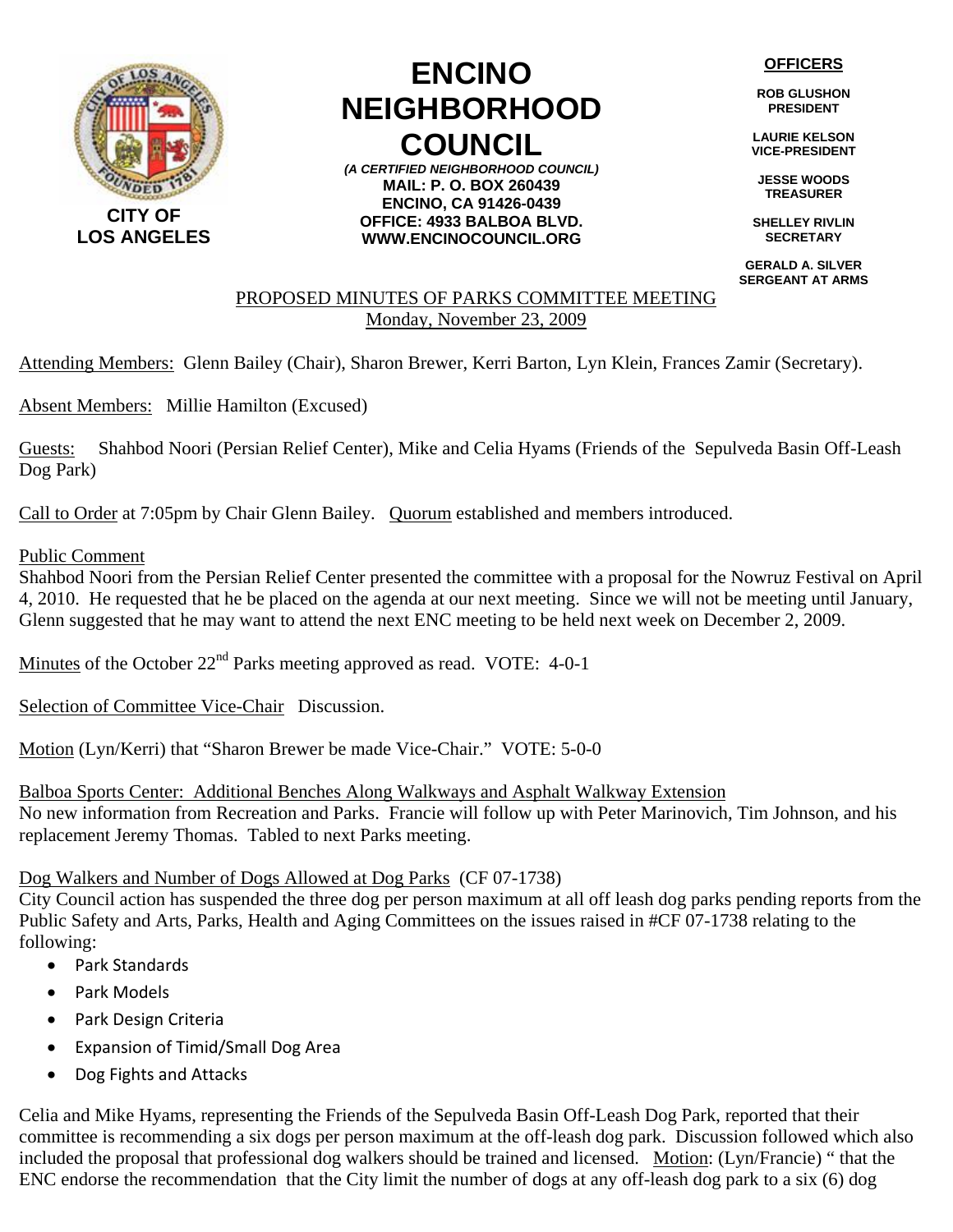

# **ENCINO NEIGHBORHOOD COUNCIL**

*(A CERTIFIED NEIGHBORHOOD COUNCIL)* **MAIL: P. O. BOX 260439 ENCINO, CA 91426-0439 OFFICE: 4933 BALBOA BLVD. WWW.ENCINOCOUNCIL.ORG**

**OFFICERS**

**ROB GLUSHON PRESIDENT** 

**LAURIE KELSON VICE-PRESIDENT** 

**JESSE WOODS TREASURER** 

**SHELLEY RIVLIN SECRETARY** 

**GERALD A. SILVER SERGEANT AT ARMS**

## PROPOSED MINUTES OF PARKS COMMITTEE MEETING Monday, November 23, 2009

Attending Members: Glenn Bailey (Chair), Sharon Brewer, Kerri Barton, Lyn Klein, Frances Zamir (Secretary).

Absent Members: Millie Hamilton (Excused)

Guests: Shahbod Noori (Persian Relief Center), Mike and Celia Hyams (Friends of the Sepulveda Basin Off-Leash Dog Park)

Call to Order at 7:05pm by Chair Glenn Bailey. Quorum established and members introduced.

## Public Comment

Shahbod Noori from the Persian Relief Center presented the committee with a proposal for the Nowruz Festival on April 4, 2010. He requested that he be placed on the agenda at our next meeting. Since we will not be meeting until January, Glenn suggested that he may want to attend the next ENC meeting to be held next week on December 2, 2009.

Minutes of the October  $22<sup>nd</sup>$  Parks meeting approved as read. VOTE: 4-0-1

Selection of Committee Vice-Chair Discussion.

Motion (Lyn/Kerri) that "Sharon Brewer be made Vice-Chair." VOTE: 5-0-0

Balboa Sports Center: Additional Benches Along Walkways and Asphalt Walkway Extension No new information from Recreation and Parks. Francie will follow up with Peter Marinovich, Tim Johnson, and his replacement Jeremy Thomas. Tabled to next Parks meeting.

## Dog Walkers and Number of Dogs Allowed at Dog Parks (CF 07-1738)

City Council action has suspended the three dog per person maximum at all off leash dog parks pending reports from the Public Safety and Arts, Parks, Health and Aging Committees on the issues raised in #CF 07-1738 relating to the following:

- Park Standards
- Park Models
- Park Design Criteria
- Expansion of Timid/Small Dog Area
- Dog Fights and Attacks

Celia and Mike Hyams, representing the Friends of the Sepulveda Basin Off-Leash Dog Park, reported that their committee is recommending a six dogs per person maximum at the off-leash dog park. Discussion followed which also included the proposal that professional dog walkers should be trained and licensed. Motion: (Lyn/Francie) " that the ENC endorse the recommendation that the City limit the number of dogs at any off-leash dog park to a six (6) dog